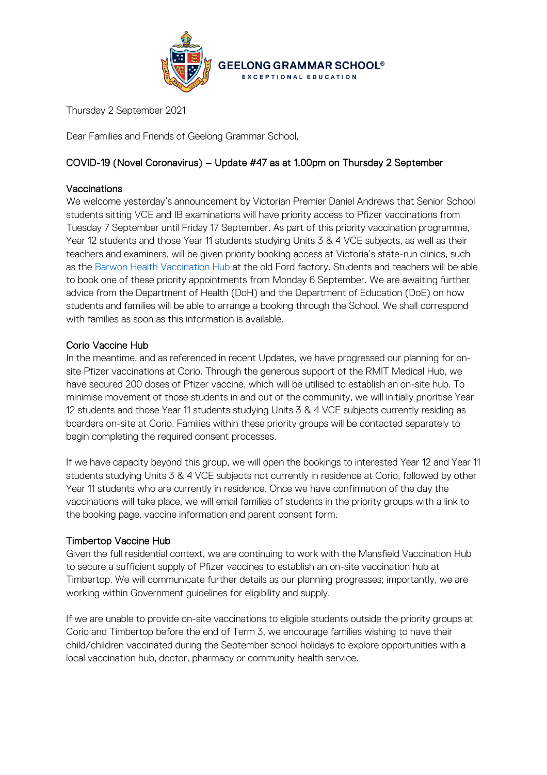

Thursday 2 September 2021

Dear Families and Friends of Geelong Grammar School,

# COVID-19 (Novel Coronavirus) – Update #47 as at 1.00pm on Thursday 2 September

### Vaccinations

We welcome yesterday's announcement by Victorian Premier Daniel Andrews that Senior School students sitting VCE and IB examinations will have priority access to Pfizer vaccinations from Tuesday 7 September until Friday 17 September. As part of this priority vaccination programme, Year 12 students and those Year 11 students studying Units 3 & 4 VCE subjects, as well as their teachers and examiners, will be given priority booking access at Victoria's state-run clinics, such as the [Barwon Health Vaccination Hub](https://www.barwonhealth.org.au/coronavirus/booking-a-vaccination) at the old Ford factory. Students and teachers will be able to book one of these priority appointments from Monday 6 September. We are awaiting further advice from the Department of Health (DoH) and the Department of Education (DoE) on how students and families will be able to arrange a booking through the School. We shall correspond with families as soon as this information is available.

## Corio Vaccine Hub

In the meantime, and as referenced in recent Updates, we have progressed our planning for onsite Pfizer vaccinations at Corio. Through the generous support of the RMIT Medical Hub, we have secured 200 doses of Pfizer vaccine, which will be utilised to establish an on-site hub. To minimise movement of those students in and out of the community, we will initially prioritise Year 12 students and those Year 11 students studying Units 3 & 4 VCE subjects currently residing as boarders on-site at Corio. Families within these priority groups will be contacted separately to begin completing the required consent processes.

If we have capacity beyond this group, we will open the bookings to interested Year 12 and Year 11 students studying Units 3 & 4 VCE subjects not currently in residence at Corio, followed by other Year 11 students who are currently in residence. Once we have confirmation of the day the vaccinations will take place, we will email families of students in the priority groups with a link to the booking page, vaccine information and parent consent form.

#### Timbertop Vaccine Hub

Given the full residential context, we are continuing to work with the Mansfield Vaccination Hub to secure a sufficient supply of Pfizer vaccines to establish an on-site vaccination hub at Timbertop. We will communicate further details as our planning progresses; importantly, we are working within Government guidelines for eligibility and supply.

If we are unable to provide on-site vaccinations to eligible students outside the priority groups at Corio and Timbertop before the end of Term 3, we encourage families wishing to have their child/children vaccinated during the September school holidays to explore opportunities with a local vaccination hub, doctor, pharmacy or community health service.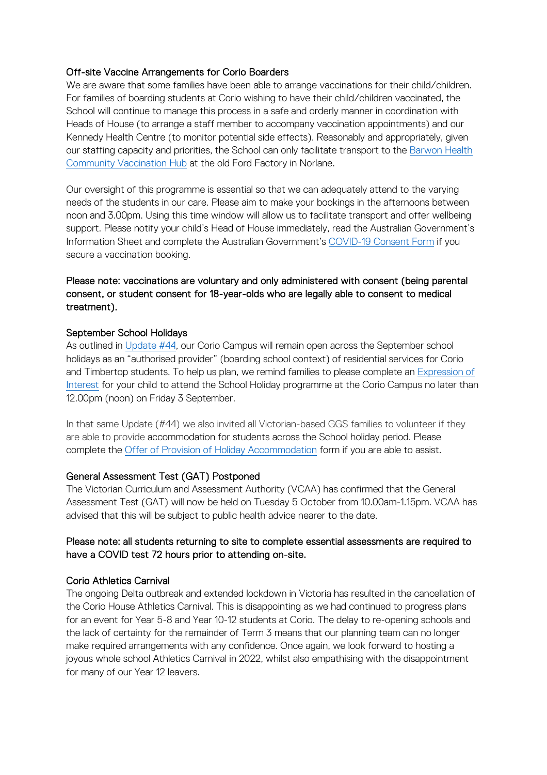### Off-site Vaccine Arrangements for Corio Boarders

We are aware that some families have been able to arrange vaccinations for their child/children. For families of boarding students at Corio wishing to have their child/children vaccinated, the School will continue to manage this process in a safe and orderly manner in coordination with Heads of House (to arrange a staff member to accompany vaccination appointments) and our Kennedy Health Centre (to monitor potential side effects). Reasonably and appropriately, given our staffing capacity and priorities, the School can only facilitate transport to the [Barwon Health](https://www.barwonhealth.org.au/coronavirus/booking-a-vaccination)  [Community Vaccination Hub](https://www.barwonhealth.org.au/coronavirus/booking-a-vaccination) at the old Ford Factory in Norlane.

Our oversight of this programme is essential so that we can adequately attend to the varying needs of the students in our care. Please aim to make your bookings in the afternoons between noon and 3.00pm. Using this time window will allow us to facilitate transport and offer wellbeing support. Please notify your child's Head of House immediately, read the Australian Government's Information Sheet and complete the Australian Government's [COVID-19 Consent Form](https://hive.ggs.vic.edu.au/homepage/6123) if you secure a vaccination booking.

# Please note: vaccinations are voluntary and only administered with consent (being parental consent, or student consent for 18-year-olds who are legally able to consent to medical treatment).

## September School Holidays

As outlined in [Update #44,](https://www.ggs.vic.edu.au/ArticleDocuments/1007/Coronavirus%20Update%2044_270821.pdf.aspx) our Corio Campus will remain open across the September school holidays as an "authorised provider" (boarding school context) of residential services for Corio and Timbertop students. To help us plan, we remind families to please complete an [Expression of](https://forms.office.com/Pages/DesignPage.aspx?wdLOR=cD20B46A5-F721-487A-A303-9F702D4D82B2#FormId=ELu_KfmYBkWxD1P2rSx8EhNGL3Sos4VPnO1rlxA0dvVUMzdEWVU1SUJPTEZUOTlOVURHMDVQOERJMi4u&Token=10c5ff6ac2e4480e955fb2c58e18912e)  [Interest](https://forms.office.com/Pages/DesignPage.aspx?wdLOR=cD20B46A5-F721-487A-A303-9F702D4D82B2#FormId=ELu_KfmYBkWxD1P2rSx8EhNGL3Sos4VPnO1rlxA0dvVUMzdEWVU1SUJPTEZUOTlOVURHMDVQOERJMi4u&Token=10c5ff6ac2e4480e955fb2c58e18912e) for your child to attend the School Holiday programme at the Corio Campus no later than 12.00pm (noon) on Friday 3 September.

In that same Update (#44) we also invited all Victorian-based GGS families to volunteer if they are able to provide accommodation for students across the School holiday period. Please complete the Offer [of Provision of Holiday Accommodation](https://forms.office.com/Pages/DesignPage.aspx?wdLOR=c7ED72539-2590-462D-9BF4-D4AFD01443FF#FormId=ELu_KfmYBkWxD1P2rSx8EhNGL3Sos4VPnO1rlxA0dvVURVhSSUkzRDY5VUc4M1pBNVJBUlRVMThXOC4u&Token=c03ac5a079ce476396b94203bf8c701e) form if you are able to assist.

#### General Assessment Test (GAT) Postponed

The Victorian Curriculum and Assessment Authority (VCAA) has confirmed that the General Assessment Test (GAT) will now be held on Tuesday 5 October from 10.00am-1.15pm. VCAA has advised that this will be subject to public health advice nearer to the date.

# Please note: all students returning to site to complete essential assessments are required to have a COVID test 72 hours prior to attending on-site.

#### Corio Athletics Carnival

The ongoing Delta outbreak and extended lockdown in Victoria has resulted in the cancellation of the Corio House Athletics Carnival. This is disappointing as we had continued to progress plans for an event for Year 5-8 and Year 10-12 students at Corio. The delay to re-opening schools and the lack of certainty for the remainder of Term 3 means that our planning team can no longer make required arrangements with any confidence. Once again, we look forward to hosting a joyous whole school Athletics Carnival in 2022, whilst also empathising with the disappointment for many of our Year 12 leavers.